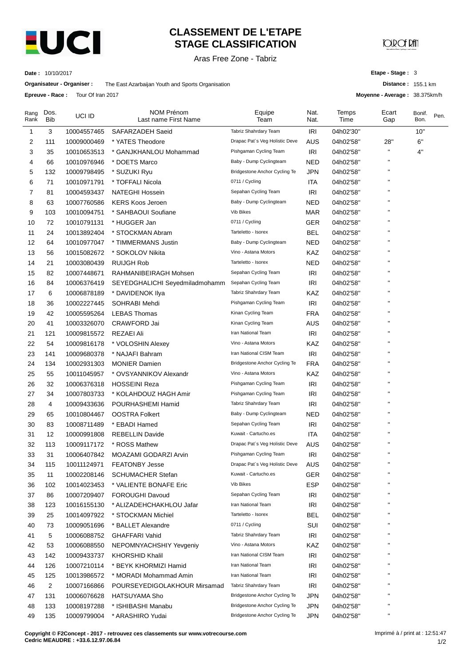

**Epreuve - Race :** Tour Of Iran 2017

# **CLASSEMENT DE L'ETAPE STAGE CLASSIFICATION**

Aras Free Zone - Tabriz

# **JOIR OF PAI**

**Date :** 10/10/2017

**Organisateur - Organiser :** The East Azarbaijan Youth and Sports Organisation

**Etape - Stage :** 3

**Distance :** 155.1 km

**Moyenne - Average :** 38.375km/h

| Rang<br>Rank | Dos.<br><b>Bib</b> | UCI ID      | NOM Prénom<br>Last name First Name | Equipe<br>Team                 | Nat.<br>Nat. | Temps<br>Time | Ecart<br>Gap       | Bonif.<br>Bon. | Pen. |
|--------------|--------------------|-------------|------------------------------------|--------------------------------|--------------|---------------|--------------------|----------------|------|
| 1            | 3                  | 10004557465 | SAFARZADEH Saeid                   | Tabriz Shahrdary Team          | IRI          | 04h02'30"     |                    | 10"            |      |
| 2            | 111                | 10009000469 | * YATES Theodore                   | Drapac Pat's Veg Holistic Deve | AUS          | 04h02'58"     | 28"                | 6"             |      |
| 3            | 35                 | 10010653513 | * GANJKHANLOU Mohammad             | Pishgaman Cycling Team         | IRI          | 04h02'58"     | п                  | 4"             |      |
| 4            | 66                 | 10010976946 | * DOETS Marco                      | Baby - Dump Cyclingteam        | <b>NED</b>   | 04h02'58"     | н                  |                |      |
| 5            | 132                | 10009798495 | * SUZUKI Ryu                       | Bridgestone Anchor Cycling Te  | JPN          | 04h02'58"     | п                  |                |      |
| 6            | 71                 | 10010971791 | * TOFFALI Nicola                   | 0711 / Cycling                 | ITA          | 04h02'58"     | П                  |                |      |
| 7            | 81                 | 10004593437 | <b>NATEGHI Hossein</b>             | Sepahan Cycling Team           | IRI          | 04h02'58"     |                    |                |      |
| 8            | 63                 | 10007760586 | <b>KERS Koos Jeroen</b>            | Baby - Dump Cyclingteam        | NED          | 04h02'58"     | П                  |                |      |
| 9            | 103                | 10010094751 | * SAHBAOUI Soufiane                | Vib Bikes                      | MAR          | 04h02'58"     | п                  |                |      |
| 10           | 72                 | 10010791131 | * HUGGER Jan                       | 0711 / Cycling                 | <b>GER</b>   | 04h02'58"     | п                  |                |      |
| 11           | 24                 | 10013892404 | * STOCKMAN Abram                   | Tarteletto - Isorex            | <b>BEL</b>   | 04h02'58"     | $\mathbf{H}$       |                |      |
| 12           | 64                 | 10010977047 | * TIMMERMANS Justin                | Baby - Dump Cyclingteam        | <b>NED</b>   | 04h02'58"     | п                  |                |      |
| 13           | 56                 | 10015082672 | * SOKOLOV Nikita                   | Vino - Astana Motors           | KAZ          | 04h02'58"     | п                  |                |      |
| 14           | 21                 | 10003080439 | <b>RUIJGH Rob</b>                  | Tarteletto - Isorex            | NED          | 04h02'58"     |                    |                |      |
| 15           | 82                 | 10007448671 | RAHMANIBEIRAGH Mohsen              | Sepahan Cycling Team           | IRI          | 04h02'58"     |                    |                |      |
| 16           | 84                 | 10006376419 | SEYEDGHALICHI Seyedmiladmohamm     | Sepahan Cycling Team           | IRI          | 04h02'58"     |                    |                |      |
| 17           | 6                  | 10006878189 | * DAVIDENOK Ilya                   | Tabriz Shahrdary Team          | KAZ          | 04h02'58"     | п                  |                |      |
| 18           | 36                 | 10002227445 | SOHRABI Mehdi                      | Pishgaman Cycling Team         | <b>IRI</b>   | 04h02'58"     | П                  |                |      |
| 19           | 42                 | 10005595264 | <b>LEBAS Thomas</b>                | Kinan Cycling Team             | <b>FRA</b>   | 04h02'58"     | п                  |                |      |
| 20           | 41                 | 10003326070 | CRAWFORD Jai                       | Kinan Cycling Team             | AUS          | 04h02'58"     | п                  |                |      |
| 21           | 121                | 10009815572 | REZAEI Ali                         | Iran National Team             | IRI          | 04h02'58"     | П                  |                |      |
| 22           | 54                 | 10009816178 | * VOLOSHIN Alexey                  | Vino - Astana Motors           | <b>KAZ</b>   | 04h02'58"     |                    |                |      |
| 23           | 141                | 10009680378 | * NAJAFI Bahram                    | Iran National CISM Team        | <b>IRI</b>   | 04h02'58"     | п                  |                |      |
| 24           | 134                | 10002931303 | <b>MONIER Damien</b>               | Bridgestone Anchor Cycling Te  | <b>FRA</b>   | 04h02'58"     | П                  |                |      |
| 25           | 55                 | 10011045957 | * OVSYANNIKOV Alexandr             | Vino - Astana Motors           | KAZ          | 04h02'58"     | п                  |                |      |
| 26           | 32                 | 10006376318 | <b>HOSSEINI Reza</b>               | Pishgaman Cycling Team         | <b>IRI</b>   | 04h02'58"     | п                  |                |      |
| 27           | 34                 | 10007803733 | * KOLAHDOUZ HAGH Amir              | Pishgaman Cycling Team         | IRI          | 04h02'58"     | п                  |                |      |
| 28           | 4                  | 10009433636 | POURHASHEMI Hamid                  | Tabriz Shahrdary Team          | <b>IRI</b>   | 04h02'58"     | п                  |                |      |
| 29           | 65                 | 10010804467 | <b>OOSTRA Folkert</b>              | Baby - Dump Cyclingteam        | <b>NED</b>   | 04h02'58"     | п                  |                |      |
| 30           | 83                 | 10008711489 | * EBADI Hamed                      | Sepahan Cycling Team           | <b>IRI</b>   | 04h02'58"     |                    |                |      |
| 31           | 12                 | 10000991808 | <b>REBELLIN Davide</b>             | Kuwait - Cartucho.es           | ITA          | 04h02'58"     | П                  |                |      |
| 32           | 113                | 10009117172 | * ROSS Mathew                      | Drapac Pat's Veg Holistic Deve | AUS          | 04h02'58"     | п                  |                |      |
| 33           | 31                 | 10006407842 | MOAZAMI GODARZI Arvin              | Pishgaman Cycling Team         | IRI          | 04h02'58"     | П                  |                |      |
| 34           | 115                | 10011124971 | <b>FEATONBY Jesse</b>              | Drapac Pat's Veg Holistic Deve | <b>AUS</b>   | 04h02'58"     | $\pmb{\mathsf{H}}$ |                |      |
| 35           | 11                 | 10002208146 | <b>SCHUMACHER Stefan</b>           | Kuwait - Cartucho.es           | <b>GER</b>   | 04h02'58"     | п                  |                |      |
| 36           | 102                | 10014023453 | * VALIENTE BONAFE Eric             | Vib Bikes                      | <b>ESP</b>   | 04h02'58"     | п                  |                |      |
| 37           | 86                 | 10007209407 | <b>FOROUGHI Davoud</b>             | Sepahan Cycling Team           | <b>IRI</b>   | 04h02'58"     | Н                  |                |      |
| 38           | 123                | 10016155130 | * ALIZADEHCHAKHLOU Jafar           | Iran National Team             | <b>IRI</b>   | 04h02'58"     |                    |                |      |
| 39           | 25                 | 10014097922 | * STOCKMAN Michiel                 | Tarteletto - Isorex            | <b>BEL</b>   | 04h02'58"     |                    |                |      |
| 40           | 73                 | 10009051696 | * BALLET Alexandre                 | 0711 / Cycling                 | SUI          | 04h02'58"     |                    |                |      |
| 41           | 5                  | 10006088752 | <b>GHAFFARI Vahid</b>              | Tabriz Shahrdary Team          | IRI          | 04h02'58"     |                    |                |      |
| 42           | 53                 | 10006088550 | NEPOMNYACHSHIY Yevgeniy            | Vino - Astana Motors           | KAZ          | 04h02'58"     |                    |                |      |
| 43           | 142                | 10009433737 | KHORSHID Khalil                    | Iran National CISM Team        | <b>IRI</b>   | 04h02'58"     | н                  |                |      |
| 44           | 126                | 10007210114 | * BEYK KHORMIZI Hamid              | Iran National Team             | <b>IRI</b>   | 04h02'58"     | п                  |                |      |
| 45           | 125                | 10013986572 | * MORADI Mohammad Amin             | Iran National Team             | <b>IRI</b>   | 04h02'58"     | н                  |                |      |
| 46           | 2                  | 10007166866 | POURSEYEDIGOLAKHOUR Mirsamad       | Tabriz Shahrdary Team          | <b>IRI</b>   | 04h02'58"     |                    |                |      |
| 47           | 131                | 10006076628 | HATSUYAMA Sho                      | Bridgestone Anchor Cycling Te  | <b>JPN</b>   | 04h02'58"     | н                  |                |      |
| 48           | 133                | 10008197288 | * ISHIBASHI Manabu                 | Bridgestone Anchor Cycling Te  | <b>JPN</b>   | 04h02'58"     | $\pmb{\mathsf{H}}$ |                |      |
| 49           | 135                | 10009799004 | * ARASHIRO Yudai                   | Bridgestone Anchor Cycling Te  | <b>JPN</b>   | 04h02'58"     | П                  |                |      |

**Copyright © F2Concept - 2017 - retrouvez ces classements sur www.votrecourse.com Cedric MEAUDRE : +33.6.12.97.06.84**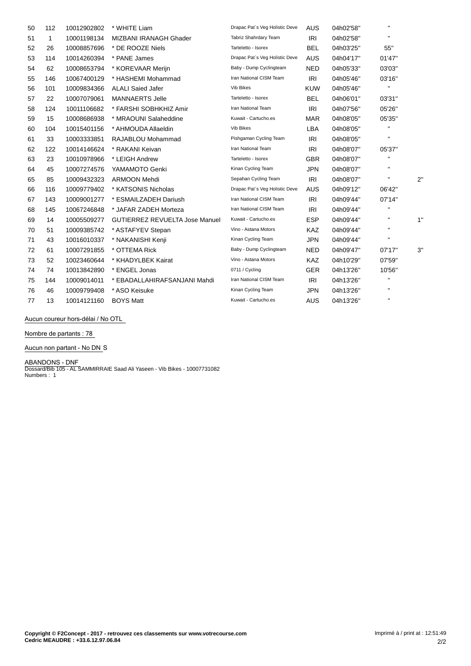| 50 | 112 | 10012902802 | * WHITE Liam                          | Drapac Pat's Veg Holistic Deve | <b>AUS</b> | 04h02'58" | $\mathbf H$  |    |
|----|-----|-------------|---------------------------------------|--------------------------------|------------|-----------|--------------|----|
| 51 | 1   | 10001198134 | MIZBANI IRANAGH Ghader                | Tabriz Shahrdary Team          | <b>IRI</b> | 04h02'58" | $\mathbf{H}$ |    |
| 52 | 26  | 10008857696 | * DE ROOZE Niels                      | Tarteletto - Isorex            | <b>BEL</b> | 04h03'25" | 55"          |    |
| 53 | 114 | 10014260394 | * PANE James                          | Drapac Pat's Veg Holistic Deve | <b>AUS</b> | 04h04'17" | 01'47"       |    |
| 54 | 62  | 10008653794 | * KOREVAAR Merijn                     | Baby - Dump Cyclingteam        | <b>NED</b> | 04h05'33" | 03'03"       |    |
| 55 | 146 | 10067400129 | * HASHEMI Mohammad                    | Iran National CISM Team        | IRI        | 04h05'46" | 03'16"       |    |
| 56 | 101 | 10009834366 | <b>ALALI Saied Jafer</b>              | Vib Bikes                      | <b>KUW</b> | 04h05'46" | $\mathbf{H}$ |    |
| 57 | 22  | 10007079061 | <b>MANNAERTS Jelle</b>                | Tarteletto - Isorex            | <b>BEL</b> | 04h06'01" | 03'31"       |    |
| 58 | 124 | 10011106682 | * FARSHI SOBHKHIZ Amir                | Iran National Team             | <b>IRI</b> | 04h07'56" | 05'26"       |    |
| 59 | 15  | 10008686938 | * MRAOUNI Salaheddine                 | Kuwait - Cartucho.es           | <b>MAR</b> | 04h08'05" | 05'35"       |    |
| 60 | 104 | 10015401156 | * AHMOUDA Allaeldin                   | Vib Bikes                      | <b>LBA</b> | 04h08'05" | $\mathbf{H}$ |    |
| 61 | 33  | 10003333851 | RAJABLOU Mohammad                     | Pishgaman Cycling Team         | IRI        | 04h08'05" | $\mathbf{H}$ |    |
| 62 | 122 | 10014146624 | * RAKANI Keivan                       | Iran National Team             | <b>IRI</b> | 04h08'07" | 05'37"       |    |
| 63 | 23  | 10010978966 | * LEIGH Andrew                        | Tarteletto - Isorex            | <b>GBR</b> | 04h08'07" | $\mathbf{H}$ |    |
| 64 | 45  | 10007274576 | YAMAMOTO Genki                        | Kinan Cycling Team             | <b>JPN</b> | 04h08'07" | $\mathbf{H}$ |    |
| 65 | 85  | 10009432323 | <b>ARMOON Mehdi</b>                   | Sepahan Cycling Team           | <b>IRI</b> | 04h08'07" | $\mathbf{H}$ | 2" |
| 66 | 116 | 10009779402 | * KATSONIS Nicholas                   | Drapac Pat's Veg Holistic Deve | <b>AUS</b> | 04h09'12" | 06'42"       |    |
| 67 | 143 | 10009001277 | * ESMAILZADEH Dariush                 | Iran National CISM Team        | IRI        | 04h09'44" | 07'14"       |    |
| 68 | 145 | 10067246848 | * JAFAR ZADEH Morteza                 | Iran National CISM Team        | IRI        | 04h09'44" | $\mathbf{H}$ |    |
| 69 | 14  | 10005509277 | <b>GUTIERREZ REVUELTA Jose Manuel</b> | Kuwait - Cartucho.es           | <b>ESP</b> | 04h09'44" | $\mathbf{H}$ | 1" |
| 70 | 51  | 10009385742 | * ASTAFYEV Stepan                     | Vino - Astana Motors           | <b>KAZ</b> | 04h09'44" | $\mathbf{H}$ |    |
| 71 | 43  | 10016010337 | * NAKANISHI Kenji                     | Kinan Cycling Team             | <b>JPN</b> | 04h09'44" | $\mathbf{H}$ |    |
| 72 | 61  | 10007291855 | * OTTEMA Rick                         | Baby - Dump Cyclingteam        | <b>NED</b> | 04h09'47" | 07'17"       | 3" |
| 73 | 52  | 10023460644 | * KHADYLBEK Kairat                    | Vino - Astana Motors           | <b>KAZ</b> | 04h10'29" | 07'59"       |    |
| 74 | 74  | 10013842890 | * ENGEL Jonas                         | 0711 / Cycling                 | <b>GER</b> | 04h13'26" | 10'56"       |    |
| 75 | 144 | 10009014011 | * EBADALLAHIRAFSANJANI Mahdi          | Iran National CISM Team        | <b>IRI</b> | 04h13'26" | $\mathbf{H}$ |    |
| 76 | 46  | 10009799408 | * ASO Keisuke                         | Kinan Cycling Team             | <b>JPN</b> | 04h13'26" | $\mathbf H$  |    |
| 77 | 13  | 10014121160 | <b>BOYS Matt</b>                      | Kuwait - Cartucho.es           | <b>AUS</b> | 04h13'26" | $\mathbf{H}$ |    |

**Aucun coureur hors-dÈlai / No OTL**

**Nombre de partants : 78**

**Aucun non partant - No DN** S

**ABANDONS - DNF** Dossard/Bib 105 - AL SAMMIRRAIE Saad Ali Yaseen - Vib Bikes - 10007731082 Numbers : 1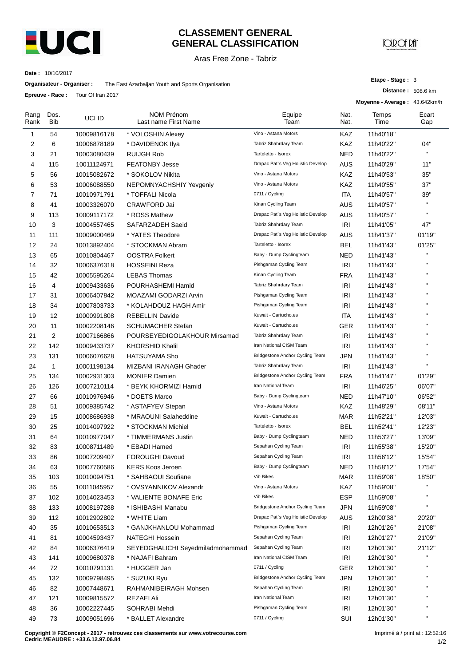

#### **CLASSEMENT GENERAL GENERAL CLASSIFICATION**

Aras Free Zone - Tabriz

**JOIR OF RAT** 

**Etape - Stage :** 3

**Distance :** 508.6 km

**Date :** 10/10/2017

**Organisateur - Organiser :** The East Azarbaijan Youth and Sports Organisation

**Epreuve - Race :** Tour Of Iran 2017

|              | LUI CUVC - NALC. | $1001$ U $101$ $201$ |                                           |                                   |              | Moyenne - Average: 43.642km/h |              |
|--------------|------------------|----------------------|-------------------------------------------|-----------------------------------|--------------|-------------------------------|--------------|
| Rang<br>Rank | Dos.<br>Bib      | UCI ID               | <b>NOM Prénom</b><br>Last name First Name | Equipe<br>Team                    | Nat.<br>Nat. | Temps<br>Time                 | Ecart<br>Gap |
| 1            | 54               | 10009816178          | * VOLOSHIN Alexey                         | Vino - Astana Motors              | KAZ          | 11h40'18"                     |              |
| 2            | 6                | 10006878189          | * DAVIDENOK Ilya                          | Tabriz Shahrdary Team             | KAZ          | 11h40'22"                     | 04"          |
| 3            | 21               | 10003080439          | <b>RUIJGH Rob</b>                         | Tarteletto - Isorex               | NED          | 11h40'22"                     | $\mathbf{H}$ |
| 4            | 115              | 10011124971          | <b>FEATONBY Jesse</b>                     | Drapac Pat's Veg Holistic Develop | AUS          | 11h40'29"                     | 11"          |
| 5            | 56               | 10015082672          | * SOKOLOV Nikita                          | Vino - Astana Motors              | KAZ          | 11h40'53"                     | 35"          |
| 6            | 53               | 10006088550          | NEPOMNYACHSHIY Yevgeniy                   | Vino - Astana Motors              | KAZ          | 11h40'55"                     | 37"          |
| 7            | 71               | 10010971791          | * TOFFALI Nicola                          | 0711 / Cycling                    | ITA          | 11h40'57"                     | 39"          |
| 8            | 41               | 10003326070          | <b>CRAWFORD Jai</b>                       | Kinan Cycling Team                | <b>AUS</b>   | 11h40'57"                     | $\mathbf{H}$ |
| 9            | 113              | 10009117172          | * ROSS Mathew                             | Drapac Pat's Veg Holistic Develop | <b>AUS</b>   | 11h40'57"                     | $\mathbf{H}$ |
| 10           | 3                | 10004557465          | SAFARZADEH Saeid                          | Tabriz Shahrdary Team             | IRI          | 11h41'05"                     | 47"          |
| 11           | 111              | 10009000469          | * YATES Theodore                          | Drapac Pat's Veg Holistic Develop | AUS          | 11h41'37"                     | 01'19"       |
| 12           | 24               | 10013892404          | * STOCKMAN Abram                          | Tarteletto - Isorex               | BEL          | 11h41'43"                     | 01'25"       |
| 13           | 65               | 10010804467          | <b>OOSTRA Folkert</b>                     | Baby - Dump Cyclingteam           | <b>NED</b>   | 11h41'43"                     | $\mathbf{H}$ |
| 14           | 32               | 10006376318          | <b>HOSSEINI Reza</b>                      | Pishgaman Cycling Team            | IRI          | 11h41'43"                     | $\mathbf{H}$ |
| 15           | 42               | 10005595264          | <b>LEBAS Thomas</b>                       | Kinan Cycling Team                | <b>FRA</b>   | 11h41'43"                     | $\mathbf{H}$ |
| 16           | 4                | 10009433636          | POURHASHEMI Hamid                         | Tabriz Shahrdary Team             | IRI          | 11h41'43"                     | $\mathbf{H}$ |
| 17           | 31               | 10006407842          | MOAZAMI GODARZI Arvin                     | Pishgaman Cycling Team            | <b>IRI</b>   | 11h41'43"                     | $\mathbf{H}$ |
| 18           | 34               | 10007803733          | * KOLAHDOUZ HAGH Amir                     | Pishgaman Cycling Team            | IRI          | 11h41'43"                     |              |
| 19           | 12               | 10000991808          | <b>REBELLIN Davide</b>                    | Kuwait - Cartucho.es              | ITA          | 11h41'43"                     | $\mathbf{H}$ |
| 20           | 11               | 10002208146          | <b>SCHUMACHER Stefan</b>                  | Kuwait - Cartucho.es              | GER          | 11h41'43"                     | $\mathbf{H}$ |
| 21           | 2                | 10007166866          | POURSEYEDIGOLAKHOUR Mirsamad              | Tabriz Shahrdary Team             | <b>IRI</b>   | 11h41'43"                     | $\mathbf{H}$ |
| 22           | 142              | 10009433737          | <b>KHORSHID Khalil</b>                    | Iran National CISM Team           | <b>IRI</b>   | 11h41'43"                     | $\mathbf{H}$ |
| 23           | 131              | 10006076628          | <b>HATSUYAMA Sho</b>                      | Bridgestone Anchor Cycling Team   | JPN          | 11h41'43"                     | $\mathbf{H}$ |
| 24           | $\mathbf{1}$     | 10001198134          | MIZBANI IRANAGH Ghader                    | Tabriz Shahrdary Team             | IRI          | 11h41'43"                     | H,           |
| 25           | 134              | 10002931303          | <b>MONIER Damien</b>                      | Bridgestone Anchor Cycling Team   | <b>FRA</b>   | 11h41'47"                     | 01'29"       |
| 26           | 126              | 10007210114          | * BEYK KHORMIZI Hamid                     | Iran National Team                | IRI          | 11h46'25"                     | 06'07"       |
| 27           | 66               | 10010976946          | * DOETS Marco                             | Baby - Dump Cyclingteam           | NED          | 11h47'10"                     | 06'52"       |
| 28           | 51               | 10009385742          | * ASTAFYEV Stepan                         | Vino - Astana Motors              | KAZ          | 11h48'29"                     | 08'11"       |
| 29           | 15               | 10008686938          | * MRAOUNI Salaheddine                     | Kuwait - Cartucho.es              | <b>MAR</b>   | 11h52'21"                     | 12'03"       |
| 30           | 25               | 10014097922          | * STOCKMAN Michiel                        | Tarteletto - Isorex               | BEL          | 11h52'41"                     | 12'23"       |
| 31           | 64               | 10010977047          | * TIMMERMANS Justin                       | Baby - Dump Cyclingteam           | NED          | 11h53'27"                     | 13'09"       |
| 32           | 83               | 10008711489          | * EBADI Hamed                             | Sepahan Cycling Team              | IRI          | 11h55'38"                     | 15'20"       |
| 33           | 86               | 10007209407          | FOROUGHI Davoud                           | Sepahan Cycling Team              | IRI          | 11h56'12"                     | 15'54"       |
| 34           | 63               | 10007760586          | KERS Koos Jeroen                          | Baby - Dump Cyclingteam           | <b>NED</b>   | 11h58'12"                     | 17'54"       |
| 35           | 103              | 10010094751          | * SAHBAOUI Soufiane                       | Vib Bikes                         | <b>MAR</b>   | 11h59'08"                     | 18'50"       |
| 36           | 55               | 10011045957          | * OVSYANNIKOV Alexandr                    | Vino - Astana Motors              | KAZ          | 11h59'08"                     | н            |
| 37           | 102              | 10014023453          | * VALIENTE BONAFE Eric                    | Vib Bikes                         | <b>ESP</b>   | 11h59'08"                     | $\mathbf{H}$ |
| 38           | 133              | 10008197288          | * ISHIBASHI Manabu                        | Bridgestone Anchor Cycling Team   | <b>JPN</b>   | 11h59'08"                     |              |
| 39           | 112              | 10012902802          | * WHITE Liam                              | Drapac Pat's Veg Holistic Develop | AUS          | 12h00'38"                     | 20'20"       |
| 40           | 35               | 10010653513          | * GANJKHANLOU Mohammad                    | Pishgaman Cycling Team            | IRI          | 12h01'26"                     | 21'08"       |
| 41           | 81               | 10004593437          | NATEGHI Hossein                           | Sepahan Cycling Team              | <b>IRI</b>   | 12h01'27"                     | 21'09"       |
| 42           | 84               | 10006376419          | SEYEDGHALICHI Seyedmiladmohammad          | Sepahan Cycling Team              | IRI          | 12h01'30"                     | 21'12"       |
| 43           | 141              | 10009680378          | * NAJAFI Bahram                           | Iran National CISM Team           | IRI          | 12h01'30"                     |              |
| 44           | 72               | 10010791131          | * HUGGER Jan                              | 0711 / Cycling                    | <b>GER</b>   | 12h01'30"                     | $\mathbf{H}$ |
| 45           | 132              | 10009798495          | * SUZUKI Ryu                              | Bridgestone Anchor Cycling Team   | <b>JPN</b>   | 12h01'30"                     |              |
| 46           | 82               | 10007448671          | RAHMANIBEIRAGH Mohsen                     | Sepahan Cycling Team              | IRI          | 12h01'30"                     |              |
| 47           | 121              | 10009815572          | <b>REZAEI Ali</b>                         | Iran National Team                | IRI          | 12h01'30"                     |              |
| 48           | 36               | 10002227445          | SOHRABI Mehdi                             | Pishgaman Cycling Team            | IRI          | 12h01'30"                     | $\mathbf{H}$ |
| 49           | 73               | 10009051696          | * BALLET Alexandre                        | 0711 / Cycling                    | SUI          | 12h01'30"                     | н            |
|              |                  |                      |                                           |                                   |              |                               |              |

**Copyright © F2Concept - 2017 - retrouvez ces classements sur www.votrecourse.com Cedric MEAUDRE : +33.6.12.97.06.84**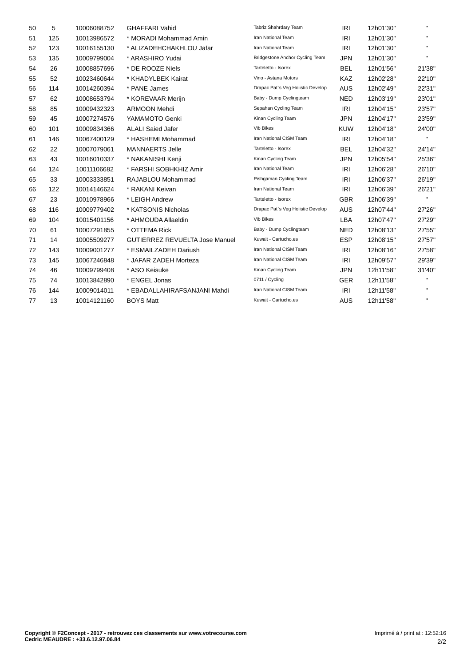| 50 | 5   | 10006088752 | <b>GHAFFARI Vahid</b>                 | Tabriz Shahrdary Team             | <b>IRI</b> | 12h01'30" | $\mathbf{H}$   |
|----|-----|-------------|---------------------------------------|-----------------------------------|------------|-----------|----------------|
| 51 | 125 | 10013986572 | * MORADI Mohammad Amin                | Iran National Team                | <b>IRI</b> | 12h01'30" | $\mathbf{H}$   |
| 52 | 123 | 10016155130 | * ALIZADEHCHAKHLOU Jafar              | Iran National Team                | <b>IRI</b> | 12h01'30" | $\mathbf{H}$ . |
| 53 | 135 | 10009799004 | * ARASHIRO Yudai                      | Bridgestone Anchor Cycling Team   | <b>JPN</b> | 12h01'30" | $\mathbf{H}$   |
| 54 | 26  | 10008857696 | * DE ROOZE Niels                      | Tarteletto - Isorex               | <b>BEL</b> | 12h01'56" | 21'38"         |
| 55 | 52  | 10023460644 | * KHADYLBEK Kairat                    | Vino - Astana Motors              | <b>KAZ</b> | 12h02'28" | 22'10"         |
| 56 | 114 | 10014260394 | * PANE James                          | Drapac Pat's Veg Holistic Develop | <b>AUS</b> | 12h02'49" | 22'31"         |
| 57 | 62  | 10008653794 | * KOREVAAR Merijn                     | Baby - Dump Cyclingteam           | <b>NED</b> | 12h03'19" | 23'01"         |
| 58 | 85  | 10009432323 | <b>ARMOON Mehdi</b>                   | Sepahan Cycling Team              | IRI        | 12h04'15" | 23'57"         |
| 59 | 45  | 10007274576 | YAMAMOTO Genki                        | Kinan Cycling Team                | <b>JPN</b> | 12h04'17" | 23'59"         |
| 60 | 101 | 10009834366 | <b>ALALI Saied Jafer</b>              | Vib Bikes                         | <b>KUW</b> | 12h04'18" | 24'00"         |
| 61 | 146 | 10067400129 | * HASHEMI Mohammad                    | Iran National CISM Team           | IRI        | 12h04'18" | $\mathbf{H}$ . |
| 62 | 22  | 10007079061 | <b>MANNAERTS Jelle</b>                | Tarteletto - Isorex               | <b>BEL</b> | 12h04'32" | 24'14"         |
| 63 | 43  | 10016010337 | * NAKANISHI Kenji                     | Kinan Cycling Team                | <b>JPN</b> | 12h05'54" | 25'36"         |
| 64 | 124 | 10011106682 | * FARSHI SOBHKHIZ Amir                | Iran National Team                | IRI        | 12h06'28" | 26'10"         |
| 65 | 33  | 10003333851 | RAJABLOU Mohammad                     | Pishgaman Cycling Team            | <b>IRI</b> | 12h06'37" | 26'19"         |
| 66 | 122 | 10014146624 | * RAKANI Keivan                       | Iran National Team                | IRI        | 12h06'39" | 26'21"         |
| 67 | 23  | 10010978966 | * LEIGH Andrew                        | Tarteletto - Isorex               | <b>GBR</b> | 12h06'39" | $\mathbf{H}$   |
| 68 | 116 | 10009779402 | * KATSONIS Nicholas                   | Drapac Pat's Veg Holistic Develop | <b>AUS</b> | 12h07'44" | 27'26"         |
| 69 | 104 | 10015401156 | * AHMOUDA Allaeldin                   | Vib Bikes                         | LBA        | 12h07'47" | 27'29"         |
| 70 | 61  | 10007291855 | * OTTEMA Rick                         | Baby - Dump Cyclingteam           | <b>NED</b> | 12h08'13" | 27'55"         |
| 71 | 14  | 10005509277 | <b>GUTIERREZ REVUELTA Jose Manuel</b> | Kuwait - Cartucho.es              | <b>ESP</b> | 12h08'15" | 27'57"         |
| 72 | 143 | 10009001277 | * ESMAILZADEH Dariush                 | Iran National CISM Team           | <b>IRI</b> | 12h08'16" | 27'58"         |
| 73 | 145 | 10067246848 | * JAFAR ZADEH Morteza                 | Iran National CISM Team           | IRI        | 12h09'57" | 29'39"         |
| 74 | 46  | 10009799408 | * ASO Keisuke                         | Kinan Cycling Team                | <b>JPN</b> | 12h11'58" | 31'40"         |
| 75 | 74  | 10013842890 | * ENGEL Jonas                         | 0711 / Cycling                    | <b>GER</b> | 12h11'58" | п.             |
| 76 | 144 | 10009014011 | * EBADALLAHIRAFSANJANI Mahdi          | Iran National CISM Team           | <b>IRI</b> | 12h11'58" | $\mathbf{H}$   |
| 77 | 13  | 10014121160 | <b>BOYS Matt</b>                      | Kuwait - Cartucho.es              | <b>AUS</b> | 12h11'58" | п.             |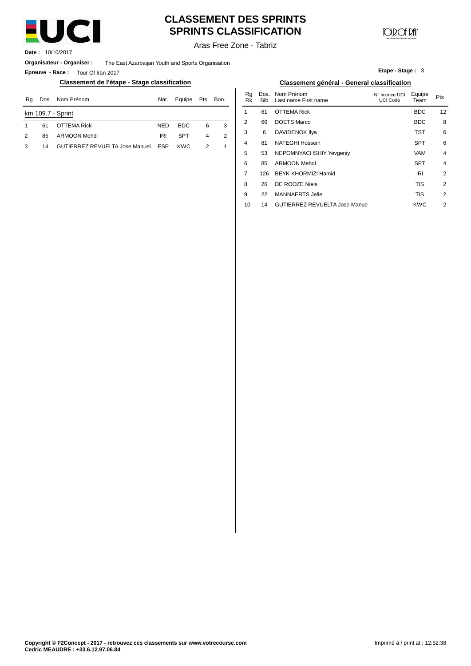

# **CLASSEMENT DES SPRINTS SPRINTS CLASSIFICATION**

**CONCERT** 

**Etape - Stage :** 3

Aras Free Zone - Tabriz

**Date :** 10/10/2017

**Organisateur - Organiser :** The East Azarbaijan Youth and Sports Organisation

**Epreuve - Race :** Tour Of Iran 2017

#### **Classement de l'étape - Stage classification Classement général - General classification**

| Rq | Dos. | Nom Prénom                            | Nat.       | Equipe     | Pts | Bon. | ĸa<br>Rk | DOS.<br><b>Bib</b> | Nom Prenom<br>Last name First name | N° licence UCI<br>UCI Code | ⊨quipe<br>Team | Pts |
|----|------|---------------------------------------|------------|------------|-----|------|----------|--------------------|------------------------------------|----------------------------|----------------|-----|
|    |      | km 109.7 - Sprint                     |            |            |     |      |          | 61                 | <b>OTTEMA Rick</b>                 |                            | <b>BDC</b>     | 12  |
|    | 61   | <b>OTTEMA Rick</b>                    | <b>NED</b> | <b>BDC</b> | 6   |      |          | 66                 | DOETS Marco                        |                            | <b>BDC</b>     |     |
| 2  | 85   | ARMOON Mehdi                          | <b>IRI</b> | <b>SPT</b> |     |      |          | 6                  | DAVIDENOK IIya                     |                            | TST            |     |
| 3  | 14   | <b>GUTIERREZ REVUELTA Jose Manuel</b> | <b>ESP</b> | <b>KWC</b> | ◠   |      |          | 81                 | NATEGHI Hossein                    |                            | <b>SPT</b>     |     |

|      | <b>เรรification</b><br>Classement général - General classification |                |      |          |                    |                                      |                                   |                |                |
|------|--------------------------------------------------------------------|----------------|------|----------|--------------------|--------------------------------------|-----------------------------------|----------------|----------------|
| Nat. | Equipe                                                             | <b>Pts</b>     | Bon. | Rq<br>Rk | Dos.<br><b>Bib</b> | Nom Prénom<br>Last name First name   | N° licence UCI<br><b>UCI Code</b> | Equipe<br>Team | Pts            |
|      |                                                                    |                |      | 1        | 61                 | <b>OTTEMA Rick</b>                   |                                   | <b>BDC</b>     | 12             |
| NED  | <b>BDC</b>                                                         | 6              | 3    | 2        | 66                 | <b>DOETS Marco</b>                   |                                   | <b>BDC</b>     | 8              |
| IRI  | <b>SPT</b>                                                         | 4              | 2    | 3        | 6                  | DAVIDENOK IIya                       |                                   | TST            | 6              |
| ESP  | <b>KWC</b>                                                         | $\overline{2}$ | 1    | 4        | 81                 | <b>NATEGHI Hossein</b>               |                                   | <b>SPT</b>     | 6              |
|      |                                                                    |                |      | 5        | 53                 | NEPOMNYACHSHIY Yevgeniy              |                                   | <b>VAM</b>     | $\overline{4}$ |
|      |                                                                    |                |      | 6        | 85                 | <b>ARMOON Mehdi</b>                  |                                   | <b>SPT</b>     | $\overline{4}$ |
|      |                                                                    |                |      | 7        | 126                | BEYK KHORMIZI Hamid                  |                                   | <b>IRI</b>     | $\overline{2}$ |
|      |                                                                    |                |      | 8        | 26                 | DE ROOZE Niels                       |                                   | <b>TIS</b>     | 2              |
|      |                                                                    |                |      | 9        | 22                 | <b>MANNAERTS Jelle</b>               |                                   | <b>TIS</b>     | 2              |
|      |                                                                    |                |      | 10       | 14                 | <b>GUTIERREZ REVUELTA Jose Manue</b> |                                   | <b>KWC</b>     | 2              |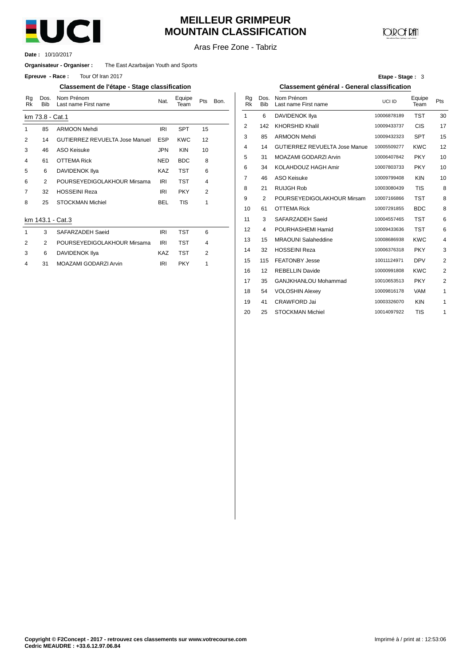

## **MEILLEUR GRIMPEUR MOUNTAIN CLASSIFICATION**

# **COD** CF DAN

Aras Free Zone - Tabriz

10/10/2017 **Date :**

#### **Organisateur - Organiser :** The East Azarbaijan Youth and Sports

**Epreuve** - Race: Tour Of Iran 2017

#### **Classement de l'étape - Stage classification Classement général - General classification**

| Rq<br><b>Rk</b>         | Dos.<br><b>Bib</b> | Nom Prénom<br>Last name First name    | Nat.       | Equipe<br>Team | Pts                     | Bon. | Rg<br>Rk       | Do<br>Bi    |
|-------------------------|--------------------|---------------------------------------|------------|----------------|-------------------------|------|----------------|-------------|
|                         | km 73.8 - Cat.1    |                                       |            |                |                         |      | 1              | 6           |
| 1                       | 85                 | <b>ARMOON Mehdi</b>                   | <b>IRI</b> | <b>SPT</b>     | 15                      |      | $\overline{2}$ | 14          |
| 2                       | 14                 | <b>GUTIERREZ REVUELTA Jose Manuel</b> | <b>ESP</b> | <b>KWC</b>     | 12                      |      | 3              | 8           |
| 3                       | 46                 | ASO Keisuke                           | <b>JPN</b> | <b>KIN</b>     | 10                      |      | 4              | 1.          |
| $\overline{\mathbf{4}}$ | 61                 | <b>OTTEMA Rick</b>                    | <b>NED</b> | <b>BDC</b>     | 8                       |      | 5              | 3           |
| 5                       | 6                  | DAVIDENOK IIya                        | <b>KAZ</b> | <b>TST</b>     | 6                       |      | 6              | 3           |
| 6                       | 2                  | POURSEYEDIGOLAKHOUR Mirsama           | IRI        | TST            | $\overline{\mathbf{4}}$ |      | 7              | 4(          |
| 7                       | 32                 | <b>HOSSEINI Reza</b>                  | <b>IRI</b> | <b>PKY</b>     | 2                       |      | 8              | $2^{\circ}$ |
| 8                       | 25                 | <b>STOCKMAN Michiel</b>               | BEL        | TIS            | 1                       |      | 9              | 2           |
|                         |                    |                                       |            |                |                         |      | 10             | 6           |
|                         |                    | km 143.1 - Cat.3                      |            |                |                         |      | 11             | 3           |
| 1                       | 3                  | SAFARZADEH Saeid                      | <b>IRI</b> | <b>TST</b>     | 6                       |      | 12             | 4           |
| 2                       | 2                  | POURSEYEDIGOLAKHOUR Mirsama           | <b>IRI</b> | <b>TST</b>     | 4                       |      | 13             | 1           |
| 3                       | 6                  | DAVIDENOK IIya                        | KAZ        | <b>TST</b>     | 2                       |      | 14             | 3           |
| 4                       | 31                 | MOAZAMI GODARZI Arvin                 | IRI        | <b>PKY</b>     | 1                       |      | 15             | 11          |
|                         |                    |                                       |            |                |                         |      |                |             |

| Etape - Stage: 3 |  |  |  |
|------------------|--|--|--|
|------------------|--|--|--|

| Nom Prénom<br>Last name First name    | Nat.       | Equipe<br>Team | Pts | Bon. | Rg<br><b>Rk</b> | Dos.<br><b>Bib</b> | Nom Prénom<br>Last name First name   | UCI ID      | Equipe<br>Team | Pts            |
|---------------------------------------|------------|----------------|-----|------|-----------------|--------------------|--------------------------------------|-------------|----------------|----------------|
| ∶at.1                                 |            |                |     |      | 1               | 6                  | <b>DAVIDENOK IIya</b>                | 10006878189 | <b>TST</b>     | 30             |
| <b>ARMOON Mehdi</b>                   | <b>IRI</b> | <b>SPT</b>     | 15  |      | 2               | 142                | <b>KHORSHID Khalil</b>               | 10009433737 | <b>CIS</b>     | 17             |
| <b>GUTIERREZ REVUELTA Jose Manuel</b> | <b>ESP</b> | <b>KWC</b>     | 12  |      | 3               | 85                 | <b>ARMOON Mehdi</b>                  | 10009432323 | <b>SPT</b>     | 15             |
| ASO Keisuke                           | <b>JPN</b> | <b>KIN</b>     | 10  |      | 4               | 14                 | <b>GUTIERREZ REVUELTA Jose Manue</b> | 10005509277 | <b>KWC</b>     | 12             |
| OTTEMA Rick                           | <b>NED</b> | <b>BDC</b>     | 8   |      | 5               | 31                 | MOAZAMI GODARZI Arvin                | 10006407842 | <b>PKY</b>     | 10             |
| DAVIDENOK Ilya                        | <b>KAZ</b> | <b>TST</b>     | 6   |      | 6               | 34                 | KOLAHDOUZ HAGH Amir                  | 10007803733 | <b>PKY</b>     | 10             |
| POURSEYEDIGOLAKHOUR Mirsama           | <b>IRI</b> | <b>TST</b>     | 4   |      | 7               | 46                 | <b>ASO Keisuke</b>                   | 10009799408 | <b>KIN</b>     | 10             |
| <b>HOSSEINI Reza</b>                  | <b>IRI</b> | <b>PKY</b>     | 2   |      | 8               | 21                 | <b>RUIJGH Rob</b>                    | 10003080439 | <b>TIS</b>     | 8              |
| <b>STOCKMAN Michiel</b>               | <b>BEL</b> | <b>TIS</b>     | 1   |      | 9               | 2                  | POURSEYEDIGOLAKHOUR Mirsam           | 10007166866 | <b>TST</b>     | 8              |
|                                       |            |                |     |      | 10              | 61                 | <b>OTTEMA Rick</b>                   | 10007291855 | <b>BDC</b>     | 8              |
| Cat.3                                 |            |                |     |      | 11              | 3                  | SAFARZADEH Saeid                     | 10004557465 | <b>TST</b>     | 6              |
| SAFARZADEH Saeid                      | <b>IRI</b> | <b>TST</b>     | 6   |      | 12              | 4                  | POURHASHEMI Hamid                    | 10009433636 | <b>TST</b>     | 6              |
| POURSEYEDIGOLAKHOUR Mirsama           | <b>IRI</b> | <b>TST</b>     | 4   |      | 13              | 15                 | <b>MRAOUNI Salaheddine</b>           | 10008686938 | <b>KWC</b>     | 4              |
| DAVIDENOK Ilya                        | <b>KAZ</b> | <b>TST</b>     | 2   |      | 14              | 32                 | <b>HOSSEINI Reza</b>                 | 10006376318 | <b>PKY</b>     | 3              |
| MOAZAMI GODARZI Arvin                 | IRI        | <b>PKY</b>     | 1   |      | 15              | 115                | <b>FEATONBY Jesse</b>                | 10011124971 | <b>DPV</b>     | $\overline{c}$ |
|                                       |            |                |     |      | 16              | 12                 | <b>REBELLIN Davide</b>               | 10000991808 | <b>KWC</b>     | $\overline{2}$ |
|                                       |            |                |     |      | 17              | 35                 | GANJKHANLOU Mohammad                 | 10010653513 | <b>PKY</b>     | $\overline{2}$ |
|                                       |            |                |     |      | 18              | 54                 | <b>VOLOSHIN Alexey</b>               | 10009816178 | <b>VAM</b>     | 1              |
|                                       |            |                |     |      | 19              | 41                 | <b>CRAWFORD Jai</b>                  | 10003326070 | <b>KIN</b>     | 1              |
|                                       |            |                |     |      | 20              | 25                 | <b>STOCKMAN Michiel</b>              | 10014097922 | <b>TIS</b>     | 1              |
|                                       |            |                |     |      |                 |                    |                                      |             |                |                |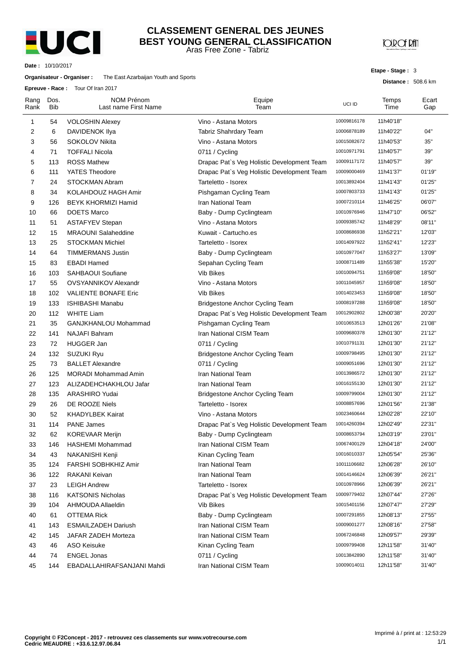

#### Aras Free Zone - Tabriz **CLASSEMENT GENERAL DES JEUNES BEST YOUNG GENERAL CLASSIFICATION**

**JOROF RAT** 

**Etape - Stage :** 3

**Distance :** 508.6 km

**Date :** 10/10/2017

#### **Organisateur - Organiser :** The East Azarbaijan Youth and Sports

**Epreuve - Race :** Tour Of Iran 2017

| Rang<br>Rank   | Dos.<br><b>Bib</b> | <b>NOM Prénom</b><br>Last name First Name | Equipe<br>Team                             | UCI ID      | Temps<br>Time | Ecart<br>Gap |
|----------------|--------------------|-------------------------------------------|--------------------------------------------|-------------|---------------|--------------|
| 1              | 54                 | <b>VOLOSHIN Alexey</b>                    | Vino - Astana Motors                       | 10009816178 | 11h40'18"     |              |
| 2              | 6                  | DAVIDENOK Ilya                            | Tabriz Shahrdary Team                      | 10006878189 | 11h40'22"     | 04"          |
| 3              | 56                 | SOKOLOV Nikita                            | Vino - Astana Motors                       | 10015082672 | 11h40'53"     | 35"          |
| 4              | 71                 | <b>TOFFALI Nicola</b>                     | 0711 / Cycling                             | 10010971791 | 11h40'57"     | 39"          |
| 5              | 113                | <b>ROSS Mathew</b>                        | Drapac Pat's Veg Holistic Development Team | 10009117172 | 11h40'57"     | 39"          |
| 6              | 111                | YATES Theodore                            | Drapac Pat's Veg Holistic Development Team | 10009000469 | 11h41'37"     | 01'19"       |
| $\overline{7}$ | 24                 | STOCKMAN Abram                            | Tarteletto - Isorex                        | 10013892404 | 11h41'43"     | 01'25"       |
| 8              | 34                 | KOLAHDOUZ HAGH Amir                       | Pishgaman Cycling Team                     | 10007803733 | 11h41'43"     | 01'25"       |
| 9              | 126                | <b>BEYK KHORMIZI Hamid</b>                | Iran National Team                         | 10007210114 | 11h46'25"     | 06'07"       |
| 10             | 66                 | <b>DOETS Marco</b>                        | Baby - Dump Cyclingteam                    | 10010976946 | 11h47'10"     | 06'52"       |
| 11             | 51                 | <b>ASTAFYEV Stepan</b>                    | Vino - Astana Motors                       | 10009385742 | 11h48'29"     | 08'11"       |
| 12             | 15                 | <b>MRAOUNI Salaheddine</b>                | Kuwait - Cartucho.es                       | 10008686938 | 11h52'21"     | 12'03"       |
| 13             | 25                 | <b>STOCKMAN Michiel</b>                   | Tarteletto - Isorex                        | 10014097922 | 11h52'41"     | 12'23"       |
| 14             | 64                 | <b>TIMMERMANS Justin</b>                  | Baby - Dump Cyclingteam                    | 10010977047 | 11h53'27"     | 13'09"       |
| 15             | 83                 | <b>EBADI Hamed</b>                        | Sepahan Cycling Team                       | 10008711489 | 11h55'38"     | 15'20"       |
| 16             | 103                | SAHBAOUI Soufiane                         | <b>Vib Bikes</b>                           | 10010094751 | 11h59'08"     | 18'50"       |
| 17             | 55                 | <b>OVSYANNIKOV Alexandr</b>               | Vino - Astana Motors                       | 10011045957 | 11h59'08"     | 18'50"       |
| 18             | 102                | <b>VALIENTE BONAFE Eric</b>               | Vib Bikes                                  | 10014023453 | 11h59'08"     | 18'50"       |
| 19             | 133                | <b>ISHIBASHI Manabu</b>                   | Bridgestone Anchor Cycling Team            | 10008197288 | 11h59'08"     | 18'50"       |
| 20             | 112                | <b>WHITE Liam</b>                         | Drapac Pat's Veg Holistic Development Team | 10012902802 | 12h00'38"     | 20'20"       |
| 21             | 35                 | GANJKHANLOU Mohammad                      | Pishgaman Cycling Team                     | 10010653513 | 12h01'26"     | 21'08"       |
| 22             | 141                | NAJAFI Bahram                             | Iran National CISM Team                    | 10009680378 | 12h01'30"     | 21'12"       |
| 23             | 72                 | <b>HUGGER Jan</b>                         | 0711 / Cycling                             | 10010791131 | 12h01'30"     | 21'12"       |
| 24             | 132                | <b>SUZUKI Ryu</b>                         | Bridgestone Anchor Cycling Team            | 10009798495 | 12h01'30"     | 21'12"       |
| 25             | 73                 | <b>BALLET Alexandre</b>                   | 0711 / Cycling                             | 10009051696 | 12h01'30"     | 21'12"       |
| 26             | 125                | <b>MORADI Mohammad Amin</b>               | Iran National Team                         | 10013986572 | 12h01'30"     | 21'12"       |
| 27             | 123                | ALIZADEHCHAKHLOU Jafar                    | Iran National Team                         | 10016155130 | 12h01'30"     | 21'12"       |
| 28             | 135                | ARASHIRO Yudai                            | Bridgestone Anchor Cycling Team            | 10009799004 | 12h01'30"     | 21'12"       |
| 29             | 26                 | DE ROOZE Niels                            | Tarteletto - Isorex                        | 10008857696 | 12h01'56"     | 21'38"       |
| 30             | 52                 | <b>KHADYLBEK Kairat</b>                   | Vino - Astana Motors                       | 10023460644 | 12h02'28"     | 22'10"       |
| 31             | 114                | <b>PANE James</b>                         | Drapac Pat's Veg Holistic Development Team | 10014260394 | 12h02'49"     | 22'31"       |
| 32             | 62                 | <b>KOREVAAR Merijn</b>                    | Baby - Dump Cyclingteam                    | 10008653794 | 12h03'19"     | 23'01"       |
| 33             | 146                | HASHEMI Mohammad                          | Iran National CISM Team                    | 10067400129 | 12h04'18"     | 24'00"       |
| 34             | 43                 | NAKANISHI Kenji                           | Kinan Cycling Team                         | 10016010337 | 12h05'54"     | 25'36"       |
| 35             | 124                | FARSHI SOBHKHIZ Amir                      | Iran National Team                         | 10011106682 | 12h06'28"     | 26'10"       |
| 36             | 122                | RAKANI Keivan                             | Iran National Team                         | 10014146624 | 12h06'39"     | 26'21"       |
| 37             | 23                 | <b>LEIGH Andrew</b>                       | Tarteletto - Isorex                        | 10010978966 | 12h06'39"     | 26'21"       |
| 38             | 116                | <b>KATSONIS Nicholas</b>                  | Drapac Pat's Veg Holistic Development Team | 10009779402 | 12h07'44"     | 27'26"       |
| 39             | 104                | AHMOUDA Allaeldin                         | <b>Vib Bikes</b>                           | 10015401156 | 12h07'47"     | 27'29"       |
| 40             | 61                 | <b>OTTEMA Rick</b>                        | Baby - Dump Cyclingteam                    | 10007291855 | 12h08'13"     | 27'55"       |
| 41             | 143                | <b>ESMAILZADEH Dariush</b>                | Iran National CISM Team                    | 10009001277 | 12h08'16"     | 27'58"       |
| 42             | 145                | JAFAR ZADEH Morteza                       | Iran National CISM Team                    | 10067246848 | 12h09'57"     | 29'39"       |
| 43             | 46                 | <b>ASO Keisuke</b>                        | Kinan Cycling Team                         | 10009799408 | 12h11'58"     | 31'40"       |
| 44             | 74                 | <b>ENGEL Jonas</b>                        | 0711 / Cycling                             | 10013842890 | 12h11'58"     | 31'40"       |
| 45             | 144                | EBADALLAHIRAFSANJANI Mahdi                | Iran National CISM Team                    | 10009014011 | 12h11'58"     | 31'40"       |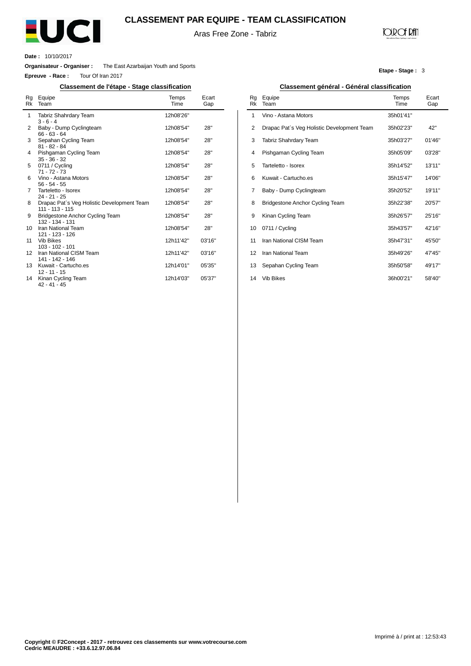

#### **CLASSEMENT PAR EQUIPE - TEAM CLASSIFICATION**

Aras Free Zone - Tabriz

### **JOIR OF RATI**

**Etape - Stage :** 3

**Date :** 10/10/2017

 $\overline{a}$ 

**Organisateur - Organiser :** The East Azarbaijan Youth and Sports

**Epreuve - Race :** Tour Of Iran 2017

#### **Classement de l'étape - Stage classification Classement général - Général classification**

| Rg<br>Rk | Equipe<br>Team                                                  | Temps<br>Time | Ecart<br>Gap |
|----------|-----------------------------------------------------------------|---------------|--------------|
| 1        | Tabriz Shahrdary Team<br>$3 - 6 - 4$                            | 12h08'26"     |              |
| 2        | Baby - Dump Cyclingteam<br>$66 - 63 - 64$                       | 12h08'54"     | 28"          |
| 3        | Sepahan Cycling Team<br>$81 - 82 - 84$                          | 12h08'54"     | 28"          |
| 4        | Pishgaman Cycling Team<br>$35 - 36 - 32$                        | 12h08'54"     | 28"          |
| 5        | 0711 / Cycling<br>$71 - 72 - 73$                                | 12h08'54"     | 28"          |
| 6        | Vino - Astana Motors<br>$56 - 54 - 55$                          | 12h08'54"     | 28"          |
| 7        | Tarteletto - Isorex<br>$24 - 21 - 25$                           | 12h08'54"     | 28"          |
| 8        | Drapac Pat's Veg Holistic Development Team<br>$111 - 113 - 115$ | 12h08'54"     | 28"          |
| 9        | Bridgestone Anchor Cycling Team<br>132 - 134 - 131              | 12h08'54"     | 28"          |
| 10       | Iran National Team<br>121 - 123 - 126                           | 12h08'54"     | 28"          |
| 11       | <b>Vib Bikes</b><br>103 - 102 - 101                             | 12h11'42"     | 03'16"       |
| 12       | Iran National CISM Team<br>141 - 142 - 146                      | 12h11'42"     | 03'16"       |
| 13       | Kuwait - Cartucho.es<br>$12 - 11 - 15$                          | 12h14'01"     | 05'35"       |
| 14       | Kinan Cycling Team<br>42 - 41 - 45                              | 12h14'03"     | 05'37"       |

| Equipe<br>Team                             | Temps<br>Time | Ecart<br>Gap |
|--------------------------------------------|---------------|--------------|
| Vino - Astana Motors                       | 35h01'41"     |              |
| Drapac Pat's Veg Holistic Development Team | 35h02'23"     | 42"          |
| Tabriz Shahrdary Team                      | 35h03'27"     | 01'46"       |
| Pishgaman Cycling Team                     | 35h05'09"     | 03'28"       |
| Tarteletto - Isorex                        | 35h14'52"     | 13'11"       |
| Kuwait - Cartucho.es                       | 35h15'47"     | 14'06"       |
| Baby - Dump Cyclingteam                    | 35h20'52"     | 19'11"       |
| Bridgestone Anchor Cycling Team            | 35h22'38"     | 20'57"       |
| Kinan Cycling Team                         | 35h26'57"     | 25'16"       |
| 0711 / Cycling                             | 35h43'57"     | 42'16"       |
| Iran National CISM Team                    | 35h47'31"     | 45'50"       |
| Iran National Team                         | 35h49'26"     | 47'45"       |
| Sepahan Cycling Team                       | 35h50'58"     | 49'17"       |
| <b>Vib Bikes</b>                           | 36h00'21"     | 58'40"       |
|                                            |               |              |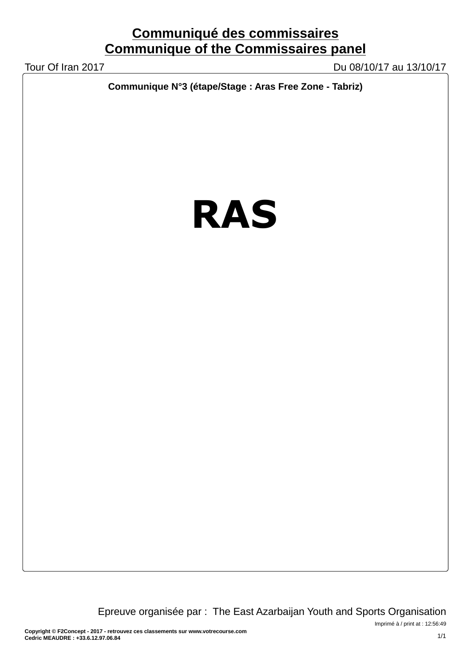# **Communiqué des commissaires Communique of the Commissaires panel**

Tour Of Iran 2017 Du 08/10/17 au 13/10/17

**Communique N°3 (étape/Stage : Aras Free Zone - Tabriz)**

# **RAS**

Epreuve organisée par : The East Azarbaijan Youth and Sports Organisation

Imprimé à / print at : 12:56:49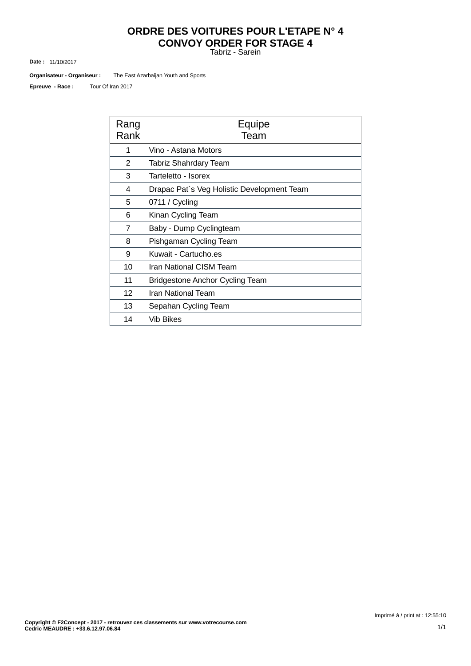# **ORDRE DES VOITURES POUR L'ETAPE N° 4 CONVOY ORDER FOR STAGE 4**

Tabriz - Sarein

11/10/2017 **Date :**

The East Azarbaijan Youth and Sports **Organisateur - Organiseur :**

Tour Of Iran 2017 **Epreuve - Race :**

| Rang<br>Rank | Equipe<br>Team                             |
|--------------|--------------------------------------------|
| 1            | Vino - Astana Motors                       |
| 2            | Tabriz Shahrdary Team                      |
| 3            | Tarteletto - Isorex                        |
| 4            | Drapac Pat's Veg Holistic Development Team |
| 5            | 0711 / Cycling                             |
| 6            | Kinan Cycling Team                         |
| 7            | Baby - Dump Cyclingteam                    |
| 8            | Pishgaman Cycling Team                     |
| 9            | Kuwait - Cartucho.es                       |
| 10           | Iran National CISM Team                    |
| 11           | <b>Bridgestone Anchor Cycling Team</b>     |
| 12           | Iran National Team                         |
| 13           | Sepahan Cycling Team                       |
| 14           | Vib Bikes                                  |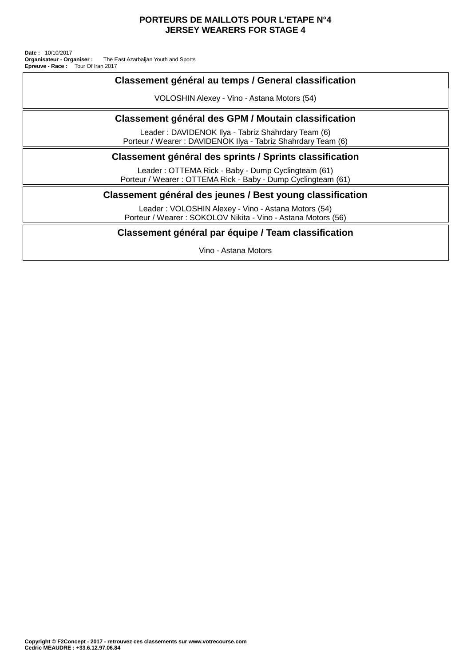#### **PORTEURS DE MAILLOTS POUR L'ETAPE N°4 JERSEY WEARERS FOR STAGE 4**

Tour Of Iran 2017 **Organisateur - Organiser :** The East Azarbaijan Youth and Sports **Date :** 10/10/2017 **Epreuve - Race :**

| Classement général au temps / General classification                                                                |  |  |  |  |
|---------------------------------------------------------------------------------------------------------------------|--|--|--|--|
| VOLOSHIN Alexey - Vino - Astana Motors (54)                                                                         |  |  |  |  |
| Classement général des GPM / Moutain classification                                                                 |  |  |  |  |
| Leader: DAVIDENOK Ilya - Tabriz Shahrdary Team (6)<br>Porteur / Wearer: DAVIDENOK Ilya - Tabriz Shahrdary Team (6)  |  |  |  |  |
| Classement général des sprints / Sprints classification                                                             |  |  |  |  |
| Leader: OTTEMA Rick - Baby - Dump Cyclingteam (61)<br>Porteur / Wearer: OTTEMA Rick - Baby - Dump Cyclingteam (61)  |  |  |  |  |
| Classement général des jeunes / Best young classification                                                           |  |  |  |  |
| Leader: VOLOSHIN Alexey - Vino - Astana Motors (54)<br>Porteur / Wearer: SOKOLOV Nikita - Vino - Astana Motors (56) |  |  |  |  |
| Classement général par équipe / Team classification                                                                 |  |  |  |  |
| Vino - Astana Motors                                                                                                |  |  |  |  |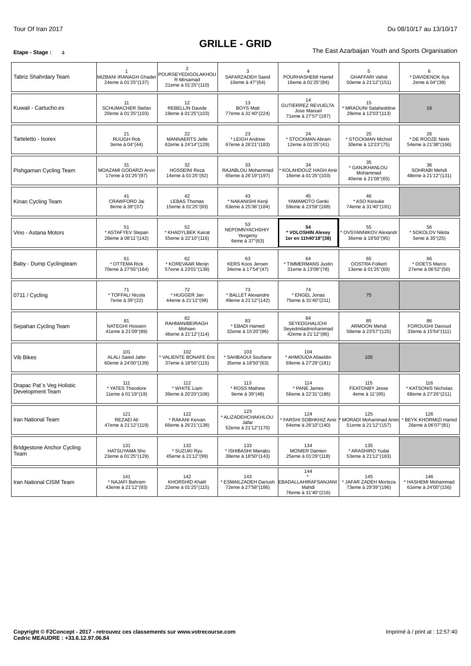# **GRILLE - GRID**

**Etape - Stage** : 4 The East Azarbaijan Youth and Sports Organisation

| Tabriz Shahrdary Team                         | MIZBANI IRANAGH Ghader<br>24eme à 01'25"(137)          | $\overline{2}$<br>POURSEYEDIGOLAKHOU<br>R Mirsamad<br>21eme à 01'25"(110) | 3<br>SAFARZADEH Saeid<br>10eme à 47"(64)                  | POURHASHEMI Hamid<br>16eme à 01'25"(84)                                         | 5<br><b>GHAFFARI Vahid</b><br>50eme à 21'12"(151)     | 6<br>* DAVIDENOK IIya<br>2eme à 04"(38)            |
|-----------------------------------------------|--------------------------------------------------------|---------------------------------------------------------------------------|-----------------------------------------------------------|---------------------------------------------------------------------------------|-------------------------------------------------------|----------------------------------------------------|
| Kuwait - Cartucho.es                          | 11<br><b>SCHUMACHER Stefan</b><br>20eme à 01'25"(103)  | 12<br><b>REBELLIN Davide</b><br>19eme à 01'25"(103)                       | 13<br><b>BOYS Matt</b><br>77eme à 31'40"(224)             | 14<br><b>GUTIERREZ REVUELTA</b><br>Jose Manuel<br>71eme à 27'57"(187)           | 15<br>* MRAOUNI Salaheddine<br>29eme à 12'03"(113)    | 16                                                 |
| Tarteletto - Isorex                           | 21<br><b>RUIJGH Rob</b><br>3eme à 04"(44)              | 22<br>MANNAERTS Jelle<br>62eme à 24'14"(129)                              | 23<br>* LEIGH Andrew<br>67eme à 26'21"(183)               | 24<br>* STOCKMAN Abram<br>12eme à 01'25"(41)                                    | 25<br>* STOCKMAN Michiel<br>30eme à 12'23"(75)        | 26<br>* DE ROOZE Niels<br>54eme à 21'38"(166)      |
| Pishgaman Cycling Team                        | 31<br>MOAZAMI GODARZI Arvin<br>17eme à 01'25"(97)      | 32<br><b>HOSSEINI Reza</b><br>14eme à 01'25"(82)                          | 33<br>RAJABLOU Mohammad<br>65eme à 26'19"(197)            | 34<br>KOLAHDOUZ HAGH Amir<br>18eme à 01'25"(103)                                | 35<br>* GANJKHANLOU<br>Mohammad<br>40eme à 21'08"(65) | 36<br>SOHRABI Mehdi<br>48eme à 21'12"(131)         |
| Kinan Cycling Team                            | 41<br>CRAWFORD Jai<br>8eme à 39"(37)                   | 42<br><b>LEBAS Thomas</b><br>15eme à 01'25"(83)                           | 43<br>* NAKANISHI Kenji<br>63eme à 25'36"(184)            | 45<br>YAMAMOTO Genki<br>59eme à 23'59"(168)                                     | 46<br>* ASO Keisuke<br>74eme à 31'40"(191)            |                                                    |
| Vino - Astana Motors                          | 51<br>* ASTAFYEV Stepan<br>28eme à 08'11"(142)         | 52<br>* KHADYLBEK Kairat<br>55eme à 22'10"(116)                           | 53<br>NEPOMNYACHSHIY<br>Yevgeniy<br>6eme à 37"(63)        | 54<br>* VOLOSHIN Alexey<br>1er en 11h40'18"(38)                                 | 55<br>OVSYANNIKOV Alexandr<br>36eme à 18'50"(95)      | 56<br>* SOKOLOV Nikita<br>5eme à 35"(25)           |
| Baby - Dump Cyclingteam                       | 61<br>* OTTEMA Rick<br>70eme à 27'55"(164)             | 62<br>* KOREVAAR Merijn<br>57eme à 23'01"(138)                            | 63<br><b>KERS Koos Jeroen</b><br>34eme à 17'54"(47)       | 64<br>* TIMMERMANS Justin<br>31eme à 13'09"(78)                                 | 65<br><b>OOSTRA Folkert</b><br>13eme à 01'25"(69)     | 66<br>* DOETS Marco<br>27eme à 06'52"(50)          |
| 0711 / Cycling                                | 71<br>* TOFFALI Nicola<br>7eme à 39"(22)               | 72<br>* HUGGER Jan<br>44eme à 21'12"(98)                                  | 73<br>* BALLET Alexandre<br>49eme à 21'12"(142)           | 74<br>* ENGEL Jonas<br>75eme à 31'40"(211)                                      | 75                                                    |                                                    |
| Sepahan Cycling Team                          | 81<br><b>NATEGHI Hossein</b><br>41eme à 21'09"(89)     | 82<br><b>RAHMANIBEIRAGH</b><br>Mohsen<br>46eme à 21'12"(114)              | 83<br>* EBADI Hamed<br>32eme à 15'20"(96)                 | 84<br><b>SEYEDGHALICHI</b><br>Seyedmiladmohammad<br>42eme à 21'12"(86)          | 85<br>ARMOON Mehdi<br>58eme à 23'57"(125)             | 86<br>FOROUGHI Davoud<br>33eme à 15'54"(111)       |
| <b>Vib Bikes</b>                              | 101<br><b>ALALI Saied Jafer</b><br>60eme à 24'00"(139) | 102<br>VALIENTE BONAFE Eric<br>37eme à 18'50"(115)                        | 103<br>* SAHBAOUI Soufiane<br>35eme à 18'50"(63)          | 104<br>* AHMOUDA Allaeldin<br>69eme à 27'29"(181)                               | 105                                                   |                                                    |
| Drapac Pat's Veg Holistic<br>Development Team | 111<br>* YATES Theodore<br>11eme à 01'19"(19)          | 112<br>* WHITE Liam<br>39eme à 20'20"(106)                                | 113<br>* ROSS Mathew<br>9eme à 39"(48)                    | 114<br>* PANE James<br>56eme à 22'31"(186)                                      | 115<br><b>FEATONBY Jesse</b><br>4eme à 11"(95)        | 116<br>* KATSONIS Nicholas<br>68eme à 27'26"(211)  |
| Iran National Team                            | 121<br>REZAEI Ali<br>47eme à 21'12"(119)               | 122<br>* RAKANI Keivan<br>66eme à 26'21"(138)                             | 123<br>* ALIZADEHCHAKHLOU<br>Jafar<br>52eme à 21'12"(170) | 124<br>* FARSHI SOBHKHIZ Amir<br>64eme à 26'10"(140)                            | 125<br>MORADI Mohammad Amin<br>51eme à 21'12"(157)    | 126<br>* BEYK KHORMIZI Hamid<br>26eme à 06'07"(81) |
| <b>Bridgestone Anchor Cycling</b><br>Team     | 131<br>HATSUYAMA Sho<br>23eme à 01'25"(129)            | 132<br>* SUZUKI Ryu<br>45eme à 21'12"(99)                                 | 133<br>* ISHIBASHI Manabu<br>38eme à 18'50"(143)          | 134<br><b>MONIER Damien</b><br>25eme à 01'29"(118)                              | 135<br>* ARASHIRO Yudai<br>53eme à 21'12"(183)        |                                                    |
| Iran National CISM Team                       | 141<br>* NAJAFI Bahram<br>43eme à 21'12"(93)           | 142<br>KHORSHID Khalil<br>22eme à 01'25"(115)                             | 143<br>72eme à 27'58"(186)                                | 144<br>ESMAILZADEH Dariush EBADALLAHIRAFSANJANI<br>Mahdi<br>76eme à 31'40"(216) | 145<br>JAFAR ZADEH Morteza<br>73eme à 29'39"(196)     | 146<br>* HASHEMI Mohammad<br>61eme à 24'00"(156)   |